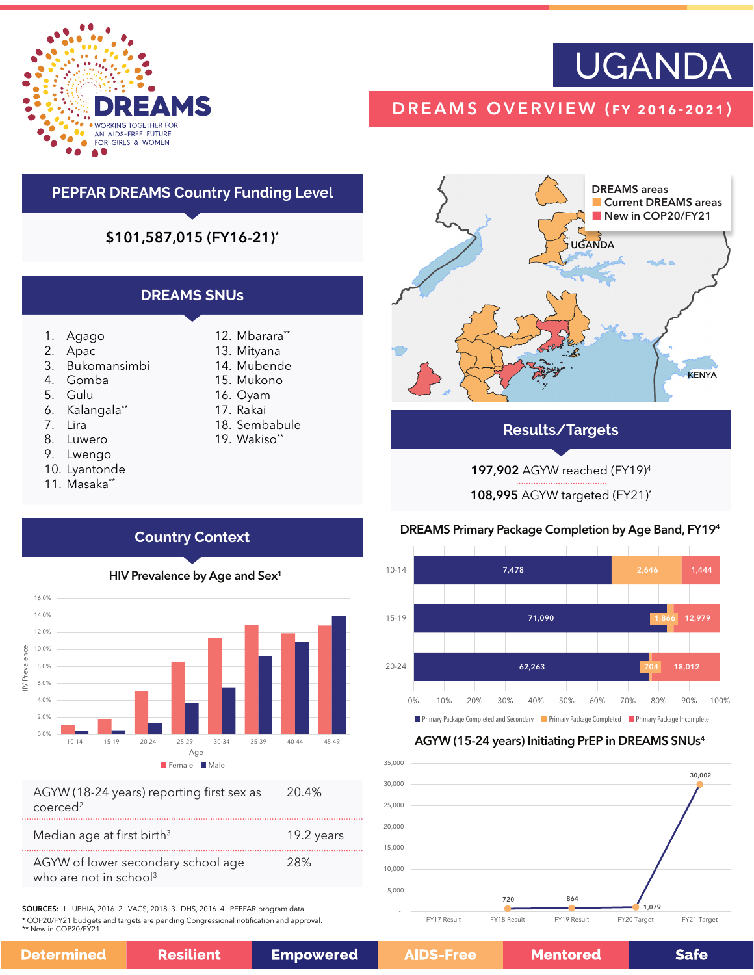

# UGANDA

## DREAMS OVERVIEW (fy 2016-2021)

## **PEPFAR DREAMS Country Funding Level**

\$101,587,015 (FY16-21)\*

### **DREAMS SNUs**

- 1. Agago
- 2. Apac
- 3. Bukomansimbi
- 4. Gomba
- 5. Gulu
- 6. Kalangala\*\*
- 7. Lira
- 8. Luwero
- 9. Lwengo
- 10. Lyantonde
- 11. Masaka\*\*
- 12. Mbarara\*\*
- 13. Mityana 14. Mubende
- 15. Mukono
- 16. Oyam
- 17. Rakai
- 18. Sembabule
- 19. Wakiso\*\*

DREAMS areas Current DREAMS areas New in COP20/FY21 UGANDA KENYA

### **Results/Targets**

197,902 AGYW reached (FY19)4

108,995 AGYW targeted (FY21)\*

### DREAMS Primary Package Completion by Age Band, FY194



### AGYW (15-24 years) Initiating PrEP in DREAMS SNUs4



## **Country Context**

HIV Prevalence by Age and Sex<sup>1</sup>



| AGYW (18-24 years) reporting first sex as | 20.4% |
|-------------------------------------------|-------|
| coerced <sup>2</sup>                      |       |

| Median age at first birth <sup>3</sup>                                   | 19.2 years |
|--------------------------------------------------------------------------|------------|
| AGYW of lower secondary school age<br>who are not in school <sup>3</sup> | 28%        |

SOURCES: 1. UPHIA, 2016 2. VACS, 2018 3. DHS, 2016 4. PEPFAR program data \* COP20/FY21 budgets and targets are pending Congressional notification and approval.

\*\* New in COP20/FY21

| <b>Resilient</b> |
|------------------|
|                  |

**Mentored** 

**Safe**